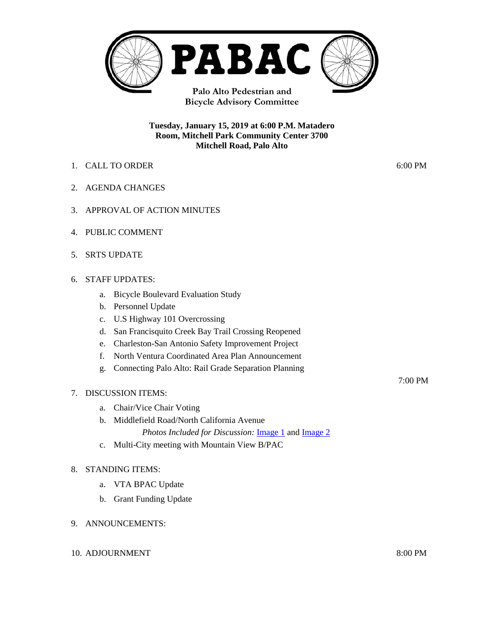

**Bicycle Advisory Committee**

#### **Tuesday, January 15, 2019 at 6:00 P.M. Matadero Room, Mitchell Park Community Center 3700 Mitchell Road, Palo Alto**

- 1. CALL TO ORDER 6:00 PM
- 2. AGENDA CHANGES
- 3. APPROVAL OF ACTION MINUTES
- 4. PUBLIC COMMENT
- 5. SRTS UPDATE

#### 6. STAFF UPDATES:

- a. Bicycle Boulevard Evaluation Study
- b. Personnel Update
- c. U.S Highway 101 Overcrossing
- d. San Francisquito Creek Bay Trail Crossing Reopened
- e. Charleston-San Antonio Safety Improvement Project
- f. North Ventura Coordinated Area Plan Announcement
- g. Connecting Palo Alto: Rail Grade Separation Planning

#### 7. DISCUSSION ITEMS:

- a. Chair/Vice Chair Voting
- b. Middlefield Road/North California Avenue

*Photos Included for Discussion:* [Image 1](https://www.cityofpaloalto.org/civicax/filebank/documents/68428) and [Image 2](https://www.cityofpaloalto.org/civicax/filebank/documents/68430)

c. Multi-City meeting with Mountain View B/PAC

#### 8. STANDING ITEMS:

- a. VTA BPAC Update
- b. Grant Funding Update

#### 9. ANNOUNCEMENTS:

10. ADJOURNMENT 8:00 PM

7:00 PM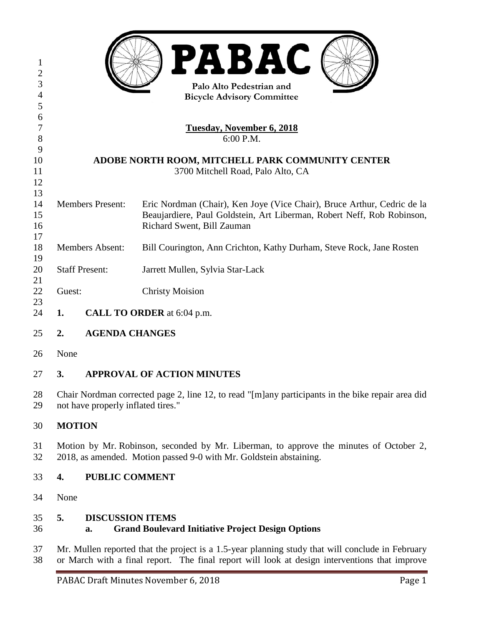| 1<br>$\overline{c}$<br>3<br>$\overline{4}$<br>5 | <b>PABAC</b><br>Palo Alto Pedestrian and<br><b>Bicycle Advisory Committee</b> |                       |                                                                         |
|-------------------------------------------------|-------------------------------------------------------------------------------|-----------------------|-------------------------------------------------------------------------|
| 6                                               |                                                                               |                       |                                                                         |
| 7                                               | <b>Tuesday, November 6, 2018</b>                                              |                       |                                                                         |
| $8\,$                                           | 6:00 P.M.                                                                     |                       |                                                                         |
| 9                                               |                                                                               |                       |                                                                         |
| 10                                              | ADOBE NORTH ROOM, MITCHELL PARK COMMUNITY CENTER                              |                       |                                                                         |
| 11                                              | 3700 Mitchell Road, Palo Alto, CA                                             |                       |                                                                         |
| 12                                              |                                                                               |                       |                                                                         |
| 13                                              |                                                                               |                       |                                                                         |
| 14                                              | <b>Members Present:</b>                                                       |                       | Eric Nordman (Chair), Ken Joye (Vice Chair), Bruce Arthur, Cedric de la |
| 15<br>16                                        |                                                                               |                       | Beaujardiere, Paul Goldstein, Art Liberman, Robert Neff, Rob Robinson,  |
| 17                                              |                                                                               |                       | Richard Swent, Bill Zauman                                              |
| 18                                              | <b>Members Absent:</b>                                                        |                       | Bill Courington, Ann Crichton, Kathy Durham, Steve Rock, Jane Rosten    |
| 19                                              |                                                                               |                       |                                                                         |
| 20                                              | <b>Staff Present:</b>                                                         |                       | Jarrett Mullen, Sylvia Star-Lack                                        |
| 21                                              |                                                                               |                       |                                                                         |
| 22                                              | Guest:                                                                        |                       | <b>Christy Moision</b>                                                  |
| 23                                              |                                                                               |                       |                                                                         |
| 24                                              | 1.                                                                            |                       | CALL TO ORDER at 6:04 p.m.                                              |
| 25                                              | 2.                                                                            | <b>AGENDA CHANGES</b> |                                                                         |
| 26                                              | None                                                                          |                       |                                                                         |
| 27                                              | 3.                                                                            |                       | <b>APPROVAL OF ACTION MINUTES</b>                                       |

 Chair Nordman corrected page 2, line 12, to read "[m]any participants in the bike repair area did not have properly inflated tires."

# **MOTION**

 Motion by Mr. Robinson, seconded by Mr. Liberman, to approve the minutes of October 2, 2018, as amended. Motion passed 9-0 with Mr. Goldstein abstaining.

## **4. PUBLIC COMMENT**

None

## **5. DISCUSSION ITEMS**

## **a. Grand Boulevard Initiative Project Design Options**

 Mr. Mullen reported that the project is a 1.5-year planning study that will conclude in February or March with a final report. The final report will look at design interventions that improve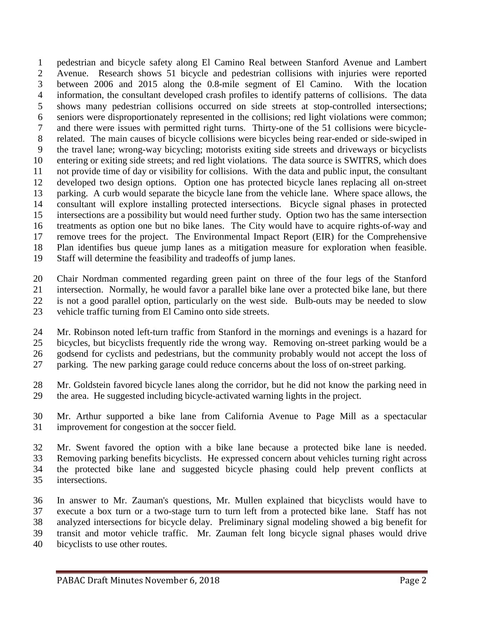pedestrian and bicycle safety along El Camino Real between Stanford Avenue and Lambert Avenue. Research shows 51 bicycle and pedestrian collisions with injuries were reported between 2006 and 2015 along the 0.8-mile segment of El Camino. With the location information, the consultant developed crash profiles to identify patterns of collisions. The data shows many pedestrian collisions occurred on side streets at stop-controlled intersections; seniors were disproportionately represented in the collisions; red light violations were common; and there were issues with permitted right turns. Thirty-one of the 51 collisions were bicycle- related. The main causes of bicycle collisions were bicycles being rear-ended or side-swiped in the travel lane; wrong-way bicycling; motorists exiting side streets and driveways or bicyclists entering or exiting side streets; and red light violations. The data source is SWITRS, which does not provide time of day or visibility for collisions. With the data and public input, the consultant developed two design options. Option one has protected bicycle lanes replacing all on-street parking. A curb would separate the bicycle lane from the vehicle lane. Where space allows, the consultant will explore installing protected intersections. Bicycle signal phases in protected intersections are a possibility but would need further study. Option two has the same intersection treatments as option one but no bike lanes. The City would have to acquire rights-of-way and remove trees for the project. The Environmental Impact Report (EIR) for the Comprehensive Plan identifies bus queue jump lanes as a mitigation measure for exploration when feasible. Staff will determine the feasibility and tradeoffs of jump lanes.

 Chair Nordman commented regarding green paint on three of the four legs of the Stanford intersection. Normally, he would favor a parallel bike lane over a protected bike lane, but there is not a good parallel option, particularly on the west side. Bulb-outs may be needed to slow vehicle traffic turning from El Camino onto side streets.

 Mr. Robinson noted left-turn traffic from Stanford in the mornings and evenings is a hazard for bicycles, but bicyclists frequently ride the wrong way. Removing on-street parking would be a godsend for cyclists and pedestrians, but the community probably would not accept the loss of parking. The new parking garage could reduce concerns about the loss of on-street parking.

 Mr. Goldstein favored bicycle lanes along the corridor, but he did not know the parking need in the area. He suggested including bicycle-activated warning lights in the project.

 Mr. Arthur supported a bike lane from California Avenue to Page Mill as a spectacular improvement for congestion at the soccer field.

 Mr. Swent favored the option with a bike lane because a protected bike lane is needed. Removing parking benefits bicyclists. He expressed concern about vehicles turning right across the protected bike lane and suggested bicycle phasing could help prevent conflicts at intersections.

 In answer to Mr. Zauman's questions, Mr. Mullen explained that bicyclists would have to execute a box turn or a two-stage turn to turn left from a protected bike lane. Staff has not analyzed intersections for bicycle delay. Preliminary signal modeling showed a big benefit for transit and motor vehicle traffic. Mr. Zauman felt long bicycle signal phases would drive bicyclists to use other routes.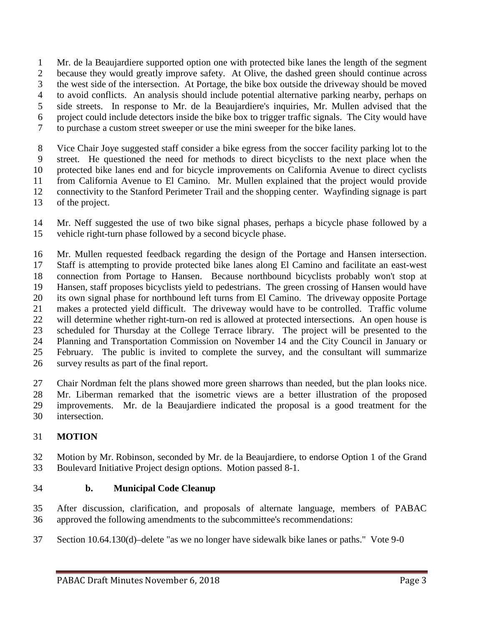Mr. de la Beaujardiere supported option one with protected bike lanes the length of the segment because they would greatly improve safety. At Olive, the dashed green should continue across the west side of the intersection. At Portage, the bike box outside the driveway should be moved to avoid conflicts. An analysis should include potential alternative parking nearby, perhaps on side streets. In response to Mr. de la Beaujardiere's inquiries, Mr. Mullen advised that the project could include detectors inside the bike box to trigger traffic signals. The City would have to purchase a custom street sweeper or use the mini sweeper for the bike lanes.

 Vice Chair Joye suggested staff consider a bike egress from the soccer facility parking lot to the street. He questioned the need for methods to direct bicyclists to the next place when the protected bike lanes end and for bicycle improvements on California Avenue to direct cyclists from California Avenue to El Camino. Mr. Mullen explained that the project would provide connectivity to the Stanford Perimeter Trail and the shopping center. Wayfinding signage is part of the project.

 Mr. Neff suggested the use of two bike signal phases, perhaps a bicycle phase followed by a vehicle right-turn phase followed by a second bicycle phase.

 Mr. Mullen requested feedback regarding the design of the Portage and Hansen intersection. Staff is attempting to provide protected bike lanes along El Camino and facilitate an east-west connection from Portage to Hansen. Because northbound bicyclists probably won't stop at Hansen, staff proposes bicyclists yield to pedestrians. The green crossing of Hansen would have its own signal phase for northbound left turns from El Camino. The driveway opposite Portage makes a protected yield difficult. The driveway would have to be controlled. Traffic volume will determine whether right-turn-on red is allowed at protected intersections. An open house is scheduled for Thursday at the College Terrace library. The project will be presented to the Planning and Transportation Commission on November 14 and the City Council in January or February. The public is invited to complete the survey, and the consultant will summarize survey results as part of the final report.

 Chair Nordman felt the plans showed more green sharrows than needed, but the plan looks nice. Mr. Liberman remarked that the isometric views are a better illustration of the proposed improvements. Mr. de la Beaujardiere indicated the proposal is a good treatment for the intersection.

# **MOTION**

 Motion by Mr. Robinson, seconded by Mr. de la Beaujardiere, to endorse Option 1 of the Grand Boulevard Initiative Project design options. Motion passed 8-1.

## **b. Municipal Code Cleanup**

 After discussion, clarification, and proposals of alternate language, members of PABAC approved the following amendments to the subcommittee's recommendations:

Section 10.64.130(d)–delete "as we no longer have sidewalk bike lanes or paths." Vote 9-0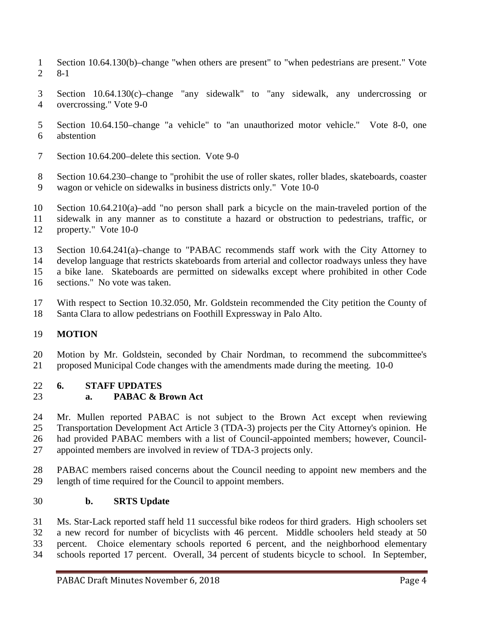- Section 10.64.130(b)–change "when others are present" to "when pedestrians are present." Vote 8-1
- Section 10.64.130(c)–change "any sidewalk" to "any sidewalk, any undercrossing or overcrossing." Vote 9-0
- Section 10.64.150–change "a vehicle" to "an unauthorized motor vehicle." Vote 8-0, one abstention
- Section 10.64.200–delete this section. Vote 9-0
- Section 10.64.230–change to "prohibit the use of roller skates, roller blades, skateboards, coaster wagon or vehicle on sidewalks in business districts only." Vote 10-0

 Section 10.64.210(a)–add "no person shall park a bicycle on the main-traveled portion of the sidewalk in any manner as to constitute a hazard or obstruction to pedestrians, traffic, or property." Vote 10-0

 Section 10.64.241(a)–change to "PABAC recommends staff work with the City Attorney to develop language that restricts skateboards from arterial and collector roadways unless they have a bike lane. Skateboards are permitted on sidewalks except where prohibited in other Code

- sections." No vote was taken.
- With respect to Section 10.32.050, Mr. Goldstein recommended the City petition the County of Santa Clara to allow pedestrians on Foothill Expressway in Palo Alto.

# **MOTION**

 Motion by Mr. Goldstein, seconded by Chair Nordman, to recommend the subcommittee's proposed Municipal Code changes with the amendments made during the meeting. 10-0

#### **6. STAFF UPDATES a. PABAC & Brown Act**

 Mr. Mullen reported PABAC is not subject to the Brown Act except when reviewing Transportation Development Act Article 3 (TDA-3) projects per the City Attorney's opinion. He had provided PABAC members with a list of Council-appointed members; however, Council-appointed members are involved in review of TDA-3 projects only.

 PABAC members raised concerns about the Council needing to appoint new members and the length of time required for the Council to appoint members.

## **b. SRTS Update**

 Ms. Star-Lack reported staff held 11 successful bike rodeos for third graders. High schoolers set a new record for number of bicyclists with 46 percent. Middle schoolers held steady at 50 percent. Choice elementary schools reported 6 percent, and the neighborhood elementary schools reported 17 percent. Overall, 34 percent of students bicycle to school. In September,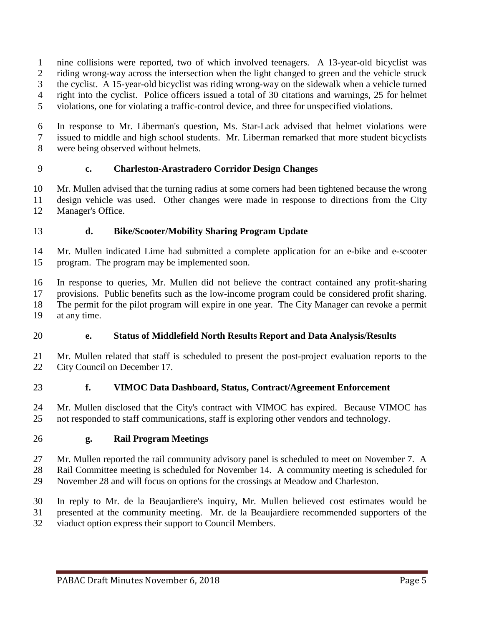nine collisions were reported, two of which involved teenagers. A 13-year-old bicyclist was riding wrong-way across the intersection when the light changed to green and the vehicle struck the cyclist. A 15-year-old bicyclist was riding wrong-way on the sidewalk when a vehicle turned right into the cyclist. Police officers issued a total of 30 citations and warnings, 25 for helmet violations, one for violating a traffic-control device, and three for unspecified violations.

 In response to Mr. Liberman's question, Ms. Star-Lack advised that helmet violations were issued to middle and high school students. Mr. Liberman remarked that more student bicyclists were being observed without helmets.

## **c. Charleston-Arastradero Corridor Design Changes**

 Mr. Mullen advised that the turning radius at some corners had been tightened because the wrong design vehicle was used. Other changes were made in response to directions from the City Manager's Office.

## **d. Bike/Scooter/Mobility Sharing Program Update**

 Mr. Mullen indicated Lime had submitted a complete application for an e-bike and e-scooter program. The program may be implemented soon.

 In response to queries, Mr. Mullen did not believe the contract contained any profit-sharing provisions. Public benefits such as the low-income program could be considered profit sharing. The permit for the pilot program will expire in one year. The City Manager can revoke a permit

at any time.

# **e. Status of Middlefield North Results Report and Data Analysis/Results**

 Mr. Mullen related that staff is scheduled to present the post-project evaluation reports to the City Council on December 17.

## **f. VIMOC Data Dashboard, Status, Contract/Agreement Enforcement**

 Mr. Mullen disclosed that the City's contract with VIMOC has expired. Because VIMOC has not responded to staff communications, staff is exploring other vendors and technology.

## **g. Rail Program Meetings**

 Mr. Mullen reported the rail community advisory panel is scheduled to meet on November 7. A Rail Committee meeting is scheduled for November 14. A community meeting is scheduled for

November 28 and will focus on options for the crossings at Meadow and Charleston.

 In reply to Mr. de la Beaujardiere's inquiry, Mr. Mullen believed cost estimates would be presented at the community meeting. Mr. de la Beaujardiere recommended supporters of the viaduct option express their support to Council Members.